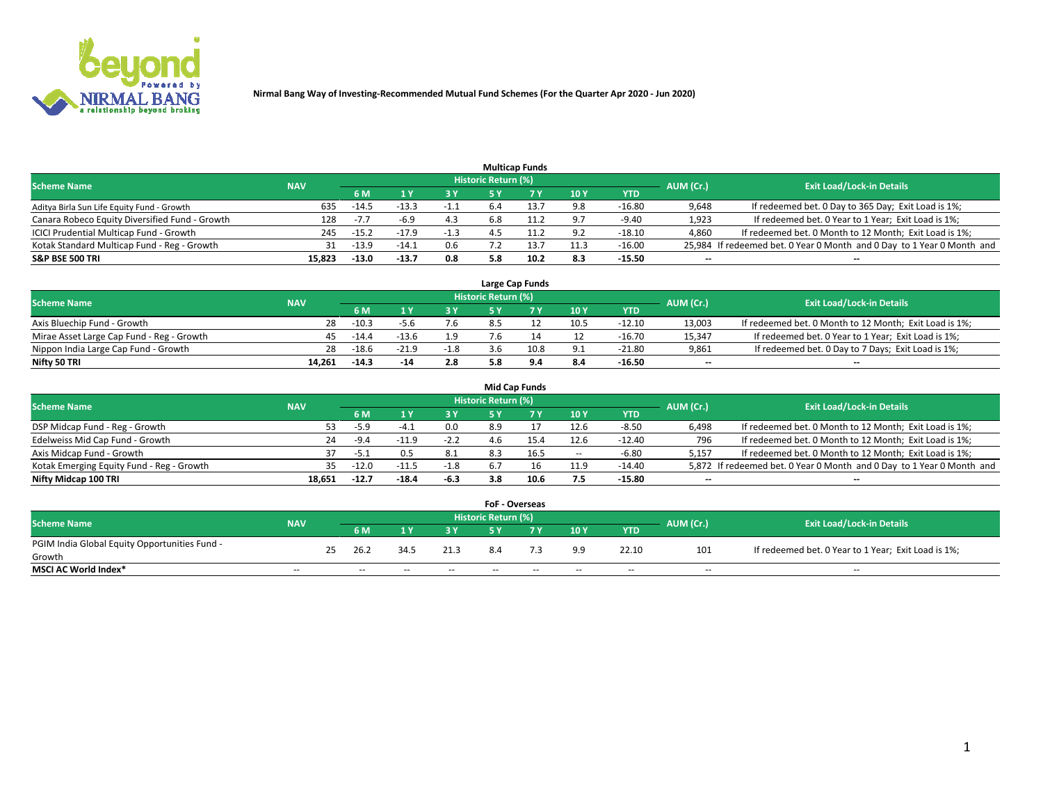

|                                                |            |                |         |        |                            | <b>Multicap Funds</b> |      |            |           |                                                                        |
|------------------------------------------------|------------|----------------|---------|--------|----------------------------|-----------------------|------|------------|-----------|------------------------------------------------------------------------|
| <b>Scheme Name</b>                             | <b>NAV</b> |                |         |        | <b>Historic Return (%)</b> |                       |      |            | AUM (Cr.) | <b>Exit Load/Lock-in Details</b>                                       |
|                                                |            | 6 M            |         |        |                            |                       | 10Y  | <b>YTD</b> |           |                                                                        |
| Aditya Birla Sun Life Equity Fund - Growth     | 635        | $-14.5$        |         | -1.1   | 6.4                        | 13.7                  | 9.8  | $-16.80$   | 9,648     | If redeemed bet. 0 Day to 365 Day; Exit Load is 1%;                    |
| Canara Robeco Equity Diversified Fund - Growth |            | $-7.7$<br>128  | $-6.9$  | 4.3    | 5.8                        | 11.2                  | 9.7  | $-9.40$    | 1,923     | If redeemed bet. 0 Year to 1 Year; Exit Load is 1%;                    |
| ICICI Prudential Multicap Fund - Growth        |            | $-15.2$<br>245 | $-17.9$ | $-1.3$ |                            | 11.2                  | 9.2  | $-18.10$   | 4,860     | If redeemed bet. 0 Month to 12 Month; Exit Load is 1%;                 |
| Kotak Standard Multicap Fund - Reg - Growth    |            | $-13.9$<br>31  | $-14.1$ | 0.6    |                            | 13.7                  | 11.3 | $-16.00$   |           | 25,984 If redeemed bet. 0 Year 0 Month and 0 Day to 1 Year 0 Month and |
| <b>S&amp;P BSE 500 TRI</b>                     | 15,823     | $-13.0$        | $-13.7$ | 0.8    | 5.8                        | 10.2                  | 8.3  | $-15.50$   | $- -$     | $- -$                                                                  |

|                                           |            |         |         |        |                     | Large Cap Funds |      |          |                          |                                                        |
|-------------------------------------------|------------|---------|---------|--------|---------------------|-----------------|------|----------|--------------------------|--------------------------------------------------------|
| <b>Scheme Name</b>                        | <b>NAV</b> |         |         |        | Historic Return (%) |                 |      |          | AUM (Cr.)                | <b>Exit Load/Lock-in Details</b>                       |
|                                           |            |         |         |        |                     |                 | 10Y  | YTD      |                          |                                                        |
| Axis Bluechip Fund - Growth               | 28         | $-10.3$ | -5.6    | 7.6    |                     |                 | 10.5 | $-12.10$ | 13.003                   | If redeemed bet. 0 Month to 12 Month; Exit Load is 1%; |
| Mirae Asset Large Cap Fund - Reg - Growth | 45         | $-14.4$ | $-13.6$ | 1.9    |                     |                 |      | $-16.70$ | 15,347                   | If redeemed bet. 0 Year to 1 Year; Exit Load is 1%;    |
| Nippon India Large Cap Fund - Growth      | 28         | $-18.6$ | $-21.9$ | $-1.8$ |                     | 10.8            | 9.1  | $-21.80$ | 9,861                    | If redeemed bet. 0 Day to 7 Days; Exit Load is 1%;     |
| Nifty 50 TRI                              | 14.261     | $-14.3$ | -14     | 2.8    |                     |                 | 8.4  | $-16.50$ | $\overline{\phantom{a}}$ | $\overline{\phantom{a}}$                               |

|                                           |            |         |         |        |                     | Mid Cap Funds |                          |            |                          |                                                                       |
|-------------------------------------------|------------|---------|---------|--------|---------------------|---------------|--------------------------|------------|--------------------------|-----------------------------------------------------------------------|
| <b>Scheme Name</b>                        | <b>NAV</b> |         |         |        | Historic Return (%) |               |                          |            | AUM (Cr.)                | <b>Exit Load/Lock-in Details</b>                                      |
|                                           |            | 6 M     |         | 3 Y    |                     |               | 10Y                      | <b>YTD</b> |                          |                                                                       |
| DSP Midcap Fund - Reg - Growth            | 53.        | -5.9    |         | 0.0    | 8.9                 |               | 12.6                     | $-8.50$    | 6,498                    | If redeemed bet. 0 Month to 12 Month; Exit Load is 1%;                |
| Edelweiss Mid Cap Fund - Growth           | 24         | $-9.4$  | $-11.9$ | $-2.2$ | 4.b                 |               | 12.6                     | -12.40     | 796                      | If redeemed bet. 0 Month to 12 Month; Exit Load is 1%;                |
| Axis Midcap Fund - Growth                 |            | $-5.1$  |         | 8.1    | 8.3                 |               | $\overline{\phantom{a}}$ | $-6.80$    | 5,157                    | If redeemed bet. 0 Month to 12 Month; Exit Load is 1%;                |
| Kotak Emerging Equity Fund - Reg - Growth | 35.        | $-12.0$ | $-11.5$ | $-1.8$ | 6.7                 |               | 11.9                     | $-14.40$   |                          | 5,872 If redeemed bet. 0 Year 0 Month and 0 Day to 1 Year 0 Month and |
| Nifty Midcap 100 TRI                      | 18.651     | $-12.7$ | $-18.4$ | -6.3   | 3.8                 | 10.6          | 7.5                      | $-15.80$   | $\overline{\phantom{a}}$ | $- -$                                                                 |

| <b>FoF - Overseas</b>                         |               |    |                          |       |            |                     |       |            |               |           |                                                     |  |  |
|-----------------------------------------------|---------------|----|--------------------------|-------|------------|---------------------|-------|------------|---------------|-----------|-----------------------------------------------------|--|--|
| <b>Scheme Name</b>                            | <b>NAV</b>    |    |                          |       |            | Historic Return (%) |       |            |               | AUM (Cr.) | <b>Exit Load/Lock-in Details</b>                    |  |  |
|                                               |               |    | 6 M                      |       | 3 V        |                     |       | 10Y        | YTD           |           |                                                     |  |  |
| PGIM India Global Equity Opportunities Fund - |               | 25 | 26.2                     | 34.5  | 21.3       | 8.4                 |       | 9.9        | 22.10         | 101       | If redeemed bet. 0 Year to 1 Year; Exit Load is 1%; |  |  |
| Growth                                        |               |    |                          |       |            |                     |       |            |               |           |                                                     |  |  |
| <b>MSCI AC World Index*</b>                   | $\sim$ $\sim$ |    | $\overline{\phantom{a}}$ | $- -$ | $\sim$ $-$ | $- -$               | $- -$ | $\sim$ $-$ | $\sim$ $\sim$ | $\sim$    | $\sim$ $\sim$                                       |  |  |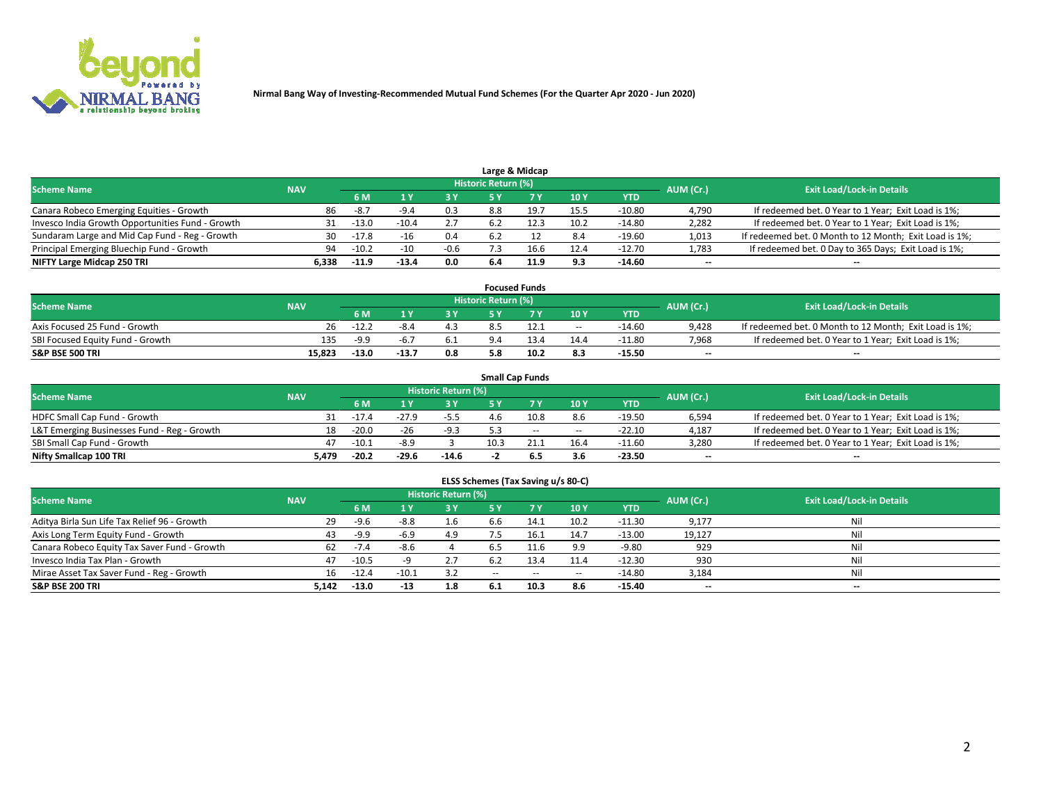

|                                                  | Large & Midcap |         |         |        |                     |      |      |            |           |                                                        |  |  |  |  |
|--------------------------------------------------|----------------|---------|---------|--------|---------------------|------|------|------------|-----------|--------------------------------------------------------|--|--|--|--|
| <b>Scheme Name</b>                               | <b>NAV</b>     |         |         |        | Historic Return (%) |      |      |            | AUM (Cr.) | <b>Exit Load/Lock-in Details</b>                       |  |  |  |  |
|                                                  |                | 6 M     |         | 3 Y    |                     |      | 10Y  | <b>YTD</b> |           |                                                        |  |  |  |  |
| Canara Robeco Emerging Equities - Growth         | 86             | -8.7    | -9.4    | 0.3    | 8.8                 | 19.7 | 15.5 | $-10.80$   | 4,790     | If redeemed bet. 0 Year to 1 Year; Exit Load is 1%;    |  |  |  |  |
| Invesco India Growth Opportunities Fund - Growth |                | $-13.0$ | -10.4   |        |                     | 12.3 | 10.2 | $-14.80$   | 2,282     | If redeemed bet. 0 Year to 1 Year; Exit Load is 1%;    |  |  |  |  |
| Sundaram Large and Mid Cap Fund - Reg - Growth   | 30             | $-17.8$ |         | 0.4    |                     |      | 8.4  | $-19.60$   | 1,013     | If redeemed bet. 0 Month to 12 Month; Exit Load is 1%; |  |  |  |  |
| Principal Emerging Bluechip Fund - Growth        | 94             | $-10.2$ | $-10$   | $-0.6$ |                     | 16.6 | 12.4 | -12.70     | 1,783     | If redeemed bet. 0 Day to 365 Days; Exit Load is 1%;   |  |  |  |  |
| NIFTY Large Midcap 250 TRI                       | 6.338          | $-11.9$ | $-13.4$ | 0.0    | 6.4                 | 11.9 | 9.3  | $-14.60$   | $- -$     | $- -$                                                  |  |  |  |  |

|                                  |            |         |         |     |                            | <b>Focused Funds</b> |            |          |           |                                                        |
|----------------------------------|------------|---------|---------|-----|----------------------------|----------------------|------------|----------|-----------|--------------------------------------------------------|
| <b>Scheme Name</b>               | <b>NAV</b> |         |         |     | <b>Historic Return (%)</b> |                      |            |          | AUM (Cr.) | <b>Exit Load/Lock-in Details</b>                       |
|                                  |            | 6 M     |         | 3 Y |                            | 7 V                  | 10Y        | YTD      |           |                                                        |
| Axis Focused 25 Fund - Growth    | 26         | $-12.2$ |         | 4.3 |                            |                      | $\sim$ $-$ | -14.60   | 9.428     | If redeemed bet. 0 Month to 12 Month; Exit Load is 1%; |
| SBI Focused Equity Fund - Growth | 135        | $-9.9$  | -6.     | 6.1 |                            |                      | 14.4       | $-11.80$ | 7.968     | If redeemed bet. 0 Year to 1 Year; Exit Load is 1%;    |
| <b>S&amp;P BSE 500 TRI</b>       | 15,823     | $-13.0$ | $-13.7$ | 0.8 |                            | 10.2                 | 8.3        | $-15.50$ | $- -$     | --                                                     |

|                                             |            |         |         |                            |      | <b>Small Cap Funds</b> |       |            |                          |                                                     |
|---------------------------------------------|------------|---------|---------|----------------------------|------|------------------------|-------|------------|--------------------------|-----------------------------------------------------|
| <b>Scheme Name</b>                          | <b>NAV</b> |         |         | <b>Historic Return (%)</b> |      |                        |       |            | AUM (Cr.)                | <b>Exit Load/Lock-in Details</b>                    |
|                                             |            | 6 M     |         | 3Y                         |      |                        | 10Y   | <b>YTD</b> |                          |                                                     |
| <b>HDFC Small Cap Fund - Growth</b>         |            | $-17.4$ | $-27.9$ | $-5.5$                     | 4.6  | 10.8                   | 8.6   | $-19.50$   | 6,594                    | If redeemed bet. 0 Year to 1 Year; Exit Load is 1%; |
| L&T Emerging Businesses Fund - Reg - Growth | 18         | $-20.0$ | -26     | $-9.3$                     |      | $-$                    | $- -$ | $-22.10$   | 4,187                    | If redeemed bet. 0 Year to 1 Year; Exit Load is 1%; |
| SBI Small Cap Fund - Growth                 | 47         | $-10.1$ | -8.9    |                            | 10.3 |                        | 16.4  | $-11.60$   | 3,280                    | If redeemed bet. 0 Year to 1 Year; Exit Load is 1%; |
| Nifty Smallcap 100 TRI                      | 5.479      | $-20.2$ | $-29.6$ | $-14.6$                    |      |                        | 3.6   | $-23.50$   | $\overline{\phantom{a}}$ | $\overline{\phantom{a}}$                            |

|  | ELSS Schemes (Tax Saving u/s 80-C) |
|--|------------------------------------|
|  |                                    |

| <b>Scheme Name</b>                           | <b>NAV</b> |         |         | <b>Historic Return (%)</b> |       |       |            |            | AUM (Cr.)                | <b>Exit Load/Lock-in Details</b> |
|----------------------------------------------|------------|---------|---------|----------------------------|-------|-------|------------|------------|--------------------------|----------------------------------|
|                                              |            | 6 M     |         | 3 Y                        |       |       | 10Y        | <b>YTD</b> |                          |                                  |
| Aditya Birla Sun Life Tax Relief 96 - Growth | 29         | -9.6    | -8.8    |                            | 6.b   | 14.1  | 10.2       | $-11.30$   | 9,177                    | Ni                               |
| Axis Long Term Equity Fund - Growth          | 43         | -9.9    | $-6.9$  | 4.9                        |       | 16.1  | 14.7       | $-13.00$   | 19,127                   | Ni                               |
| Canara Robeco Equity Tax Saver Fund - Growth | 62         | $-1.4$  | -8.6    |                            |       |       | 9.9        | $-9.80$    | 929                      | Ni                               |
| Invesco India Tax Plan - Growth              | 47         | $-10.5$ |         | 2.7                        | 6.2   | 13.4  | 11.4       | $-12.30$   | 930                      | Nil                              |
| Mirae Asset Tax Saver Fund - Reg - Growth    | 16         | $-12.4$ | $-10.1$ | 3.2                        | $- -$ | $- -$ | $\sim$ $-$ | $-14.80$   | 3,184                    | Ni                               |
| <b>S&amp;P BSE 200 TRI</b>                   | 5,142      | $-13.0$ | -13     | 1.8                        | 6.1   | 10.3  | 8.6        | $-15.40$   | $\overline{\phantom{a}}$ | $-$                              |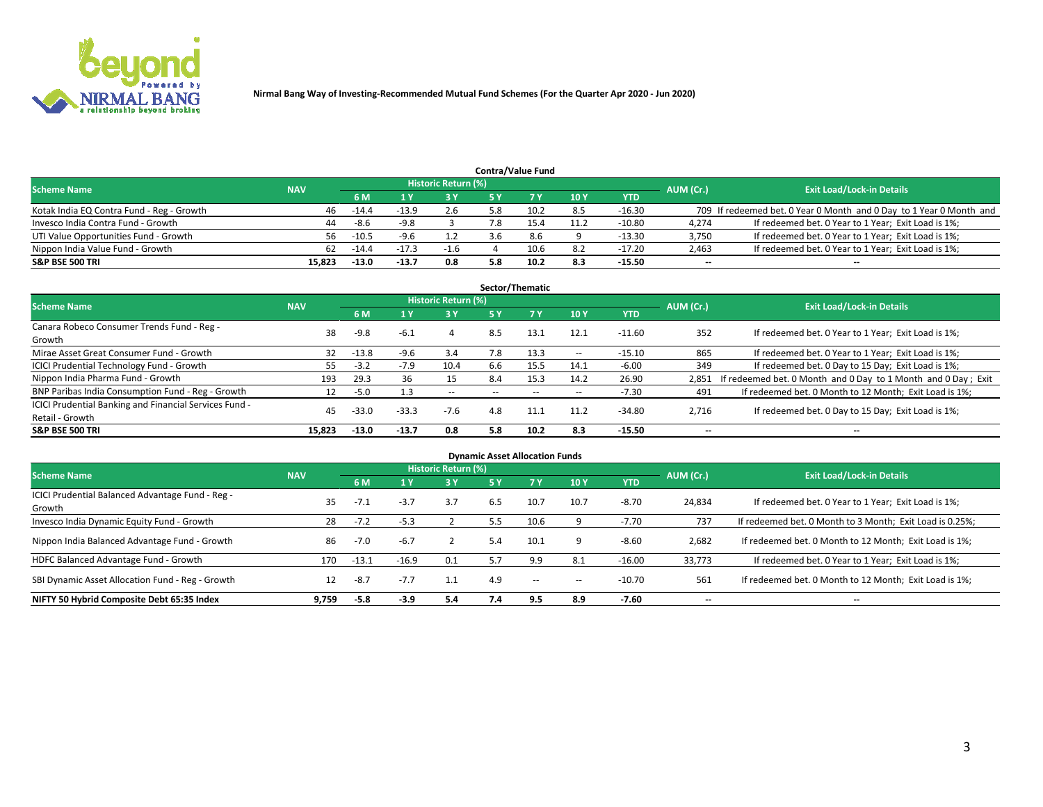

| <b>Contra/Value Fund</b>                  |            |         |         |                            |     |      |             |            |           |                                                                     |  |  |
|-------------------------------------------|------------|---------|---------|----------------------------|-----|------|-------------|------------|-----------|---------------------------------------------------------------------|--|--|
| <b>Scheme Name</b>                        | <b>NAV</b> |         |         | <b>Historic Return (%)</b> |     |      |             |            | AUM (Cr.) | <b>Exit Load/Lock-in Details</b>                                    |  |  |
|                                           |            | 6 M     |         | 73 V                       |     |      | <b>10 Y</b> | <b>YTD</b> |           |                                                                     |  |  |
| Kotak India EQ Contra Fund - Reg - Growth | 46         | $-14.4$ | $-13.9$ | 2.6                        | 5.8 | 10.2 | 8.5         | $-16.30$   |           | 709 If redeemed bet. 0 Year 0 Month and 0 Day to 1 Year 0 Month and |  |  |
| Invesco India Contra Fund - Growth        | 44         | -8.6    | -9.8    |                            |     |      | 11.2        | $-10.80$   | 4,274     | If redeemed bet. 0 Year to 1 Year; Exit Load is 1%;                 |  |  |
| UTI Value Opportunities Fund - Growth     | 56.        | $-10.5$ | $-9.6$  |                            |     | 8.6  |             | $-13.30$   | 3,750     | If redeemed bet. 0 Year to 1 Year; Exit Load is 1%;                 |  |  |
| Nippon India Value Fund - Growth          | 62         | $-14.4$ | $-17.3$ | $-1.6$                     |     | 10.6 | 8.2         | $-17.20$   | 2,463     | If redeemed bet. 0 Year to 1 Year; Exit Load is 1%;                 |  |  |
| <b>S&amp;P BSE 500 TRI</b>                | 15.823     | $-13.0$ | $-13.7$ | 0.8                        | 5.8 | 10.2 | 8.3         | $-15.50$   | $- -$     | $- -$                                                               |  |  |

| Sector/Thematic                                        |            |         |         |                     |           |       |             |            |                          |                                                               |  |  |
|--------------------------------------------------------|------------|---------|---------|---------------------|-----------|-------|-------------|------------|--------------------------|---------------------------------------------------------------|--|--|
| <b>Scheme Name</b>                                     | <b>NAV</b> |         |         | Historic Return (%) |           |       |             |            | AUM (Cr.)                | <b>Exit Load/Lock-in Details</b>                              |  |  |
|                                                        |            | 6 M     | 1 Y     | 3 Y                 | <b>5Y</b> |       | <b>10 Y</b> | <b>YTD</b> |                          |                                                               |  |  |
| Canara Robeco Consumer Trends Fund - Reg -             | 38         | $-9.8$  | -6.1    | 4                   | 8.5       | 13.1  | 12.1        | $-11.60$   | 352                      | If redeemed bet. 0 Year to 1 Year; Exit Load is 1%;           |  |  |
| Growth                                                 |            |         |         |                     |           |       |             |            |                          |                                                               |  |  |
| Mirae Asset Great Consumer Fund - Growth               | 32         | $-13.8$ | $-9.6$  | 3.4                 | 7.8       | 13.3  | $\sim$ $-$  | $-15.10$   | 865                      | If redeemed bet. 0 Year to 1 Year; Exit Load is 1%;           |  |  |
| <b>ICICI Prudential Technology Fund - Growth</b>       | 55.        | $-3.2$  | -7.9    | 10.4                | 6.6       | 15.5  | 14.1        | $-6.00$    | 349                      | If redeemed bet. 0 Day to 15 Day; Exit Load is 1%;            |  |  |
| Nippon India Pharma Fund - Growth                      | 193        | 29.3    | 36      | 15                  | 8.4       | 15.3  | 14.2        | 26.90      | 2.851                    | If redeemed bet. 0 Month and 0 Day to 1 Month and 0 Day; Exit |  |  |
| BNP Paribas India Consumption Fund - Reg - Growth      | 12         | $-5.0$  |         | $\sim$ $\sim$       | $-$       | $- -$ | $\sim$ $-$  | $-7.30$    | 491                      | If redeemed bet. 0 Month to 12 Month; Exit Load is 1%;        |  |  |
| ICICI Prudential Banking and Financial Services Fund - | 45         | $-33.0$ | $-33.3$ | $-7.6$              | 4.8       | 11.1  | 11.2        | $-34.80$   | 2,716                    | If redeemed bet. 0 Day to 15 Day; Exit Load is 1%;            |  |  |
| Retail - Growth                                        |            |         |         |                     |           |       |             |            |                          |                                                               |  |  |
| <b>S&amp;P BSE 500 TRI</b>                             | 15.823     | $-13.0$ | $-13.7$ | 0.8                 | 5.8       | 10.2  | 8.3         | $-15.50$   | $\overline{\phantom{a}}$ | $- -$                                                         |  |  |

| <b>Dynamic Asset Allocation Funds</b>                      |            |         |         |                     |     |       |       |            |                          |                                                          |  |
|------------------------------------------------------------|------------|---------|---------|---------------------|-----|-------|-------|------------|--------------------------|----------------------------------------------------------|--|
| <b>Scheme Name</b>                                         | <b>NAV</b> |         |         | Historic Return (%) |     |       |       |            | AUM (Cr.)                | <b>Exit Load/Lock-in Details</b>                         |  |
|                                                            |            | 6 M     |         | 3 Y                 | 5 Y | 7 Y   | 10Y   | <b>YTD</b> |                          |                                                          |  |
| ICICI Prudential Balanced Advantage Fund - Reg -<br>Growth | 35         | -7.⊥    | $-3.7$  | 3.7                 | 6.5 | 10.7  | 10.7  | $-8.70$    | 24,834                   | If redeemed bet. 0 Year to 1 Year; Exit Load is 1%;      |  |
| Invesco India Dynamic Equity Fund - Growth                 | 28         | $-7.2$  | $-5.3$  |                     |     | 10.6  |       | $-7.70$    | 737                      | If redeemed bet. 0 Month to 3 Month; Exit Load is 0.25%; |  |
| Nippon India Balanced Advantage Fund - Growth              | 86         | $-7.0$  | $-6.7$  |                     | 5.4 | 10.1  | 9     | $-8.60$    | 2,682                    | If redeemed bet. 0 Month to 12 Month; Exit Load is 1%;   |  |
| HDFC Balanced Advantage Fund - Growth                      | 170        | $-13.1$ | $-16.9$ | 0.1                 |     | 9.9   | 8.1   | $-16.00$   | 33,773                   | If redeemed bet. 0 Year to 1 Year; Exit Load is 1%;      |  |
| SBI Dynamic Asset Allocation Fund - Reg - Growth           | 12         | $-8.7$  | $-7.7$  | 1.1                 | 4.9 | $- -$ | $- -$ | $-10.70$   | 561                      | If redeemed bet. 0 Month to 12 Month; Exit Load is 1%;   |  |
| NIFTY 50 Hybrid Composite Debt 65:35 Index                 | 9.759      | -5.8    | $-3.9$  | 5.4                 | 7.4 | 9.5   | 8.9   | $-7.60$    | $\overline{\phantom{a}}$ | --                                                       |  |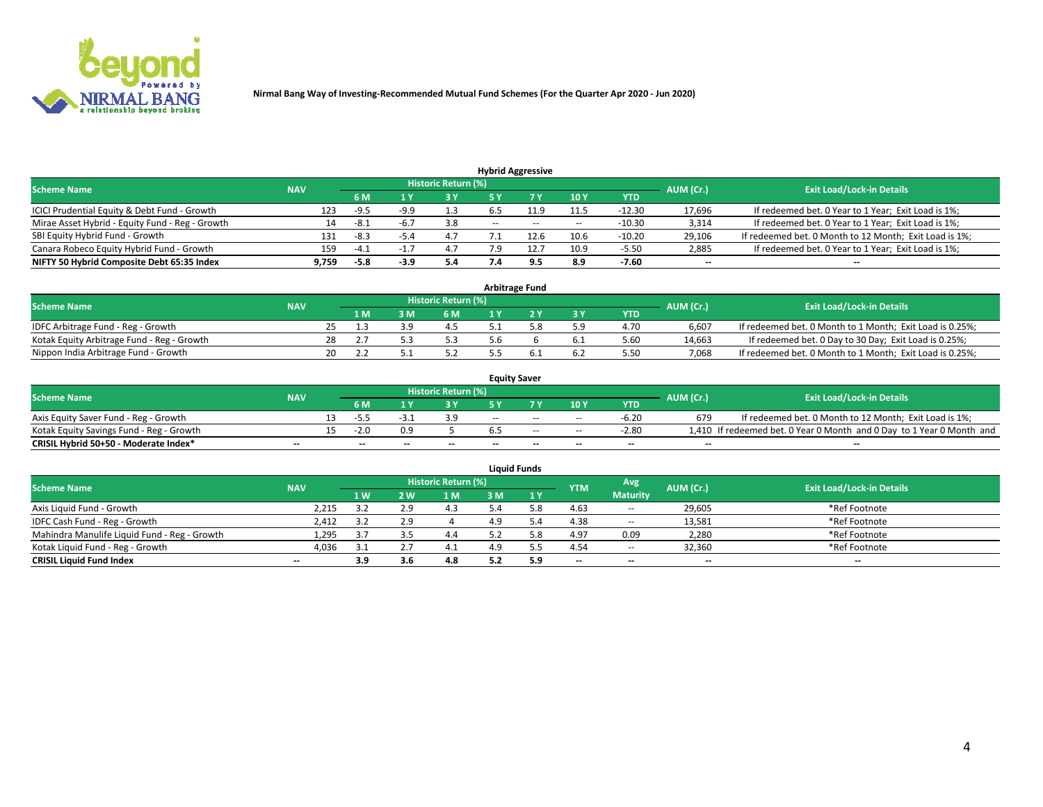

| <b>Hybrid Aggressive</b>                        |            |        |        |                            |            |       |               |            |           |                                                        |  |  |  |  |
|-------------------------------------------------|------------|--------|--------|----------------------------|------------|-------|---------------|------------|-----------|--------------------------------------------------------|--|--|--|--|
| <b>Scheme Name</b>                              | <b>NAV</b> |        |        | <b>Historic Return (%)</b> |            |       |               |            | AUM (Cr.) | <b>Exit Load/Lock-in Details</b>                       |  |  |  |  |
|                                                 |            | 6 M    |        | 73 V                       |            |       | <b>10 Y</b>   | <b>YTD</b> |           |                                                        |  |  |  |  |
| ICICI Prudential Equity & Debt Fund - Growth    | 123        | -9.5   | -9.9   | 1.3                        |            |       | 11.5          | -12.30     | 17,696    | If redeemed bet. 0 Year to 1 Year; Exit Load is 1%;    |  |  |  |  |
| Mirae Asset Hybrid - Equity Fund - Reg - Growth | 14         | -8.1   | -6.7   | 3.8                        | $\sim$ $-$ | $- -$ | $\sim$ $\sim$ | $-10.30$   | 3,314     | If redeemed bet. 0 Year to 1 Year; Exit Load is 1%;    |  |  |  |  |
| SBI Equity Hybrid Fund - Growth                 | 131        | $-8.3$ | $-5.4$ | 4.7                        |            |       | 10.6          | $-10.20$   | 29,106    | If redeemed bet. 0 Month to 12 Month; Exit Load is 1%; |  |  |  |  |
| Canara Robeco Equity Hybrid Fund - Growth       | 159        | $-4.7$ |        | 4.7                        | ם ד        | 12.7  | 10.9          | $-5.50$    | 2,885     | If redeemed bet. 0 Year to 1 Year; Exit Load is 1%;    |  |  |  |  |
| NIFTY 50 Hybrid Composite Debt 65:35 Index      | 9,759      | $-5.8$ | -3.9   | 5.4                        |            | 9.5   | 8.9           | $-7.60$    | $- -$     | $- -$                                                  |  |  |  |  |

| Arbitrage Fund                             |            |    |     |       |                     |  |  |           |            |           |                                                          |  |  |  |
|--------------------------------------------|------------|----|-----|-------|---------------------|--|--|-----------|------------|-----------|----------------------------------------------------------|--|--|--|
| <b>Scheme Name</b>                         | <b>NAV</b> |    |     |       | Historic Return (%) |  |  |           |            | AUM (Cr.) | <b>Exit Load/Lock-in Details</b>                         |  |  |  |
|                                            |            |    | 1 M | R M S | 6 M                 |  |  | <b>3Y</b> | <b>YTD</b> |           |                                                          |  |  |  |
| IDFC Arbitrage Fund - Reg - Growth         |            |    |     |       | 4.5                 |  |  | 5.9       | 4.70       | 6,607     | If redeemed bet. 0 Month to 1 Month; Exit Load is 0.25%; |  |  |  |
| Kotak Equity Arbitrage Fund - Reg - Growth |            | 28 |     |       |                     |  |  | 6.1       | 5.60       | 14,663    | If redeemed bet. 0 Day to 30 Day; Exit Load is 0.25%;    |  |  |  |
| Nippon India Arbitrage Fund - Growth       |            | 20 |     |       |                     |  |  | 6.2       | 5.50       | 7.068     | If redeemed bet. 0 Month to 1 Month; Exit Load is 0.25%; |  |  |  |

| <b>Equity Saver</b>                      |            |  |           |                                  |       |       |       |            |            |                          |                                                                       |  |  |  |
|------------------------------------------|------------|--|-----------|----------------------------------|-------|-------|-------|------------|------------|--------------------------|-----------------------------------------------------------------------|--|--|--|
| <b>Scheme Name</b>                       | <b>NAV</b> |  | AUM (Cr.) | <b>Exit Load/Lock-in Details</b> |       |       |       |            |            |                          |                                                                       |  |  |  |
|                                          |            |  | 6 M       |                                  | 2 V   |       |       | 10Y        | <b>YTD</b> |                          |                                                                       |  |  |  |
| Axis Equity Saver Fund - Reg - Growth    |            |  | -53       |                                  |       | $- -$ | $-$   | $- -$      | $-6.20$    | 679                      | If redeemed bet. 0 Month to 12 Month; Exit Load is 1%;                |  |  |  |
| Kotak Equity Savings Fund - Reg - Growth |            |  | $-2.0$    |                                  |       |       | $-$   | $\sim$ $-$ | $-2.80$    |                          | 1,410 If redeemed bet. 0 Year 0 Month and 0 Day to 1 Year 0 Month and |  |  |  |
| CRISIL Hybrid 50+50 - Moderate Index*    | $- -$      |  | $- -$     | $-$                              | $- -$ | $-$   | $- -$ | $- -$      | $-$        | $\overline{\phantom{a}}$ | $\overline{\phantom{a}}$                                              |  |  |  |

| <b>Liquid Funds</b>                          |            |     |     |                     |      |      |                          |                 |           |                                  |  |  |  |  |
|----------------------------------------------|------------|-----|-----|---------------------|------|------|--------------------------|-----------------|-----------|----------------------------------|--|--|--|--|
| <b>Scheme Name</b>                           | <b>NAV</b> |     |     | Historic Return (%) |      |      | <b>YTM</b>               | Avg             | AUM (Cr.) | <b>Exit Load/Lock-in Details</b> |  |  |  |  |
|                                              |            | 1W  | 2 W | 1 M                 | l M' | 1 Y  |                          | <b>Maturity</b> |           |                                  |  |  |  |  |
| Axis Liquid Fund - Growth                    | 2,215      | 25  | 2.9 | 4.3                 |      | . 8. | 4.63                     | $\sim$          | 29,605    | *Ref Footnote                    |  |  |  |  |
| IDFC Cash Fund - Reg - Growth                | 2,412      |     |     |                     |      |      | 4.38                     | $\sim$          | 13,581    | *Ref Footnote                    |  |  |  |  |
| Mahindra Manulife Liquid Fund - Reg - Growth | 1,295      | -27 |     | 4.4                 |      | 5.8  | 4.97                     | 0.09            | 2,280     | *Ref Footnote                    |  |  |  |  |
| Kotak Liquid Fund - Reg - Growth             | 4,036      |     |     |                     |      |      | 4.54                     | $\sim$          | 32,360    | *Ref Footnote                    |  |  |  |  |
| <b>CRISIL Liquid Fund Index</b>              | $-$        | 3.9 |     | 4.8                 |      | 5.9  | $\overline{\phantom{a}}$ | $\sim$          | $-$       | $- -$                            |  |  |  |  |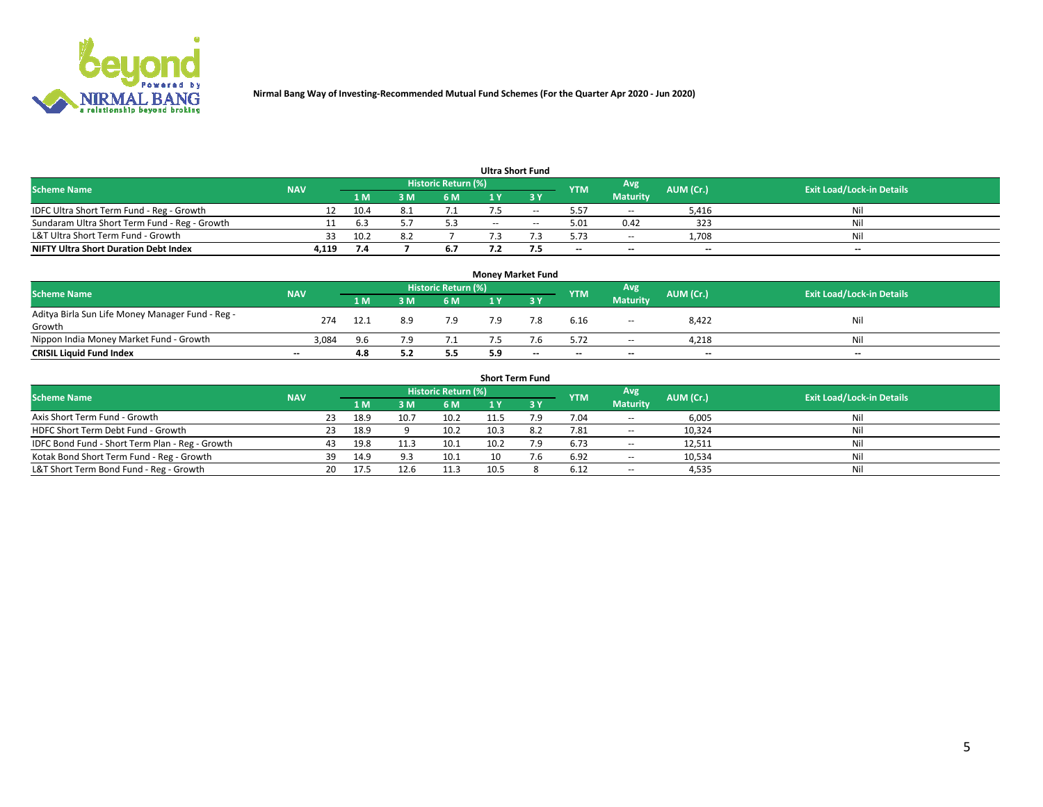

| <b>Ultra Short Fund</b>                       |            |       |      |                     |            |    |            |                 |           |                                  |  |  |  |  |
|-----------------------------------------------|------------|-------|------|---------------------|------------|----|------------|-----------------|-----------|----------------------------------|--|--|--|--|
| <b>Scheme Name</b>                            | <b>NAV</b> |       |      | Historic Return (%) |            |    | <b>YTM</b> | Avg             | AUM (Cr.) | <b>Exit Load/Lock-in Details</b> |  |  |  |  |
|                                               |            | '1 M. | 8 M' | 6 M                 |            |    |            | <b>Maturity</b> |           |                                  |  |  |  |  |
| IDFC Ultra Short Term Fund - Reg - Growth     | 12         | 10.4  |      |                     |            | -- | 5.57       | $\sim$          | 5,416     | Nil                              |  |  |  |  |
| Sundaram Ultra Short Term Fund - Reg - Growth |            | 6.3   |      | 5.3                 | $\sim$ $-$ |    | 5.01       | 0.42            | 323       | Nil                              |  |  |  |  |
| L&T Ultra Short Term Fund - Growth            | 33.        | 10.2  |      |                     |            |    | 5.73       | $\sim$          | 1.708     | Nil                              |  |  |  |  |
| <b>NIFTY Ultra Short Duration Debt Index</b>  | 4.119      | 7.4   |      | 6.7                 |            |    | $\sim$     | $\sim$          | $- -$     | $\sim$                           |  |  |  |  |

| <b>Money Market Fund</b>                         |                          |                |     |                            |     |                          |            |                 |           |                                  |  |  |  |
|--------------------------------------------------|--------------------------|----------------|-----|----------------------------|-----|--------------------------|------------|-----------------|-----------|----------------------------------|--|--|--|
| <b>Scheme Name</b>                               | <b>NAV</b>               |                |     | <b>Historic Return (%)</b> |     |                          | <b>YTM</b> | Avg             | AUM (Cr.) | <b>Exit Load/Lock-in Details</b> |  |  |  |
|                                                  |                          | 1 <sub>M</sub> | 3 M | 6 M                        |     | <b>3 Y</b>               |            | <b>Maturity</b> |           |                                  |  |  |  |
| Aditya Birla Sun Life Money Manager Fund - Reg - | 274                      | 12.1           | 8.9 | 7.9                        | 7.9 | 7.8                      | 6.16       | $\sim$ $\sim$   | 8,422     | Nil                              |  |  |  |
| Growth                                           |                          |                |     |                            |     |                          |            |                 |           |                                  |  |  |  |
| Nippon India Money Market Fund - Growth          | 3,084                    | 9.6            | 7 Q |                            |     | .b                       | 5.72       | $\sim$          | 4,218     | Nil                              |  |  |  |
| <b>CRISIL Liquid Fund Index</b>                  | $\overline{\phantom{a}}$ | 4.8            |     | 5.5                        | 5.9 | $\overline{\phantom{a}}$ | $\sim$     | $\sim$          | $-$       | $-$                              |  |  |  |

| <b>Short Term Fund</b>                          |            |     |      |      |                     |      |  |            |                          |           |                                  |  |  |  |
|-------------------------------------------------|------------|-----|------|------|---------------------|------|--|------------|--------------------------|-----------|----------------------------------|--|--|--|
| <b>Scheme Name</b>                              | <b>NAV</b> |     |      |      | Historic Return (%) |      |  | <b>YTM</b> | Avg                      | AUM (Cr.) | <b>Exit Load/Lock-in Details</b> |  |  |  |
|                                                 |            |     | 1 M  | з м  | 6 M                 |      |  |            | <b>Maturity</b>          |           |                                  |  |  |  |
| Axis Short Term Fund - Growth                   |            | 23. | 18.9 | 10.7 | 10.2                |      |  | 7.04       | $\sim$                   | 6,005     | Nil                              |  |  |  |
| HDFC Short Term Debt Fund - Growth              |            | 23  | 18.9 |      | 10.2                | 10.3 |  | 7.81       | $\overline{\phantom{a}}$ | 10,324    | Nil                              |  |  |  |
| IDFC Bond Fund - Short Term Plan - Reg - Growth |            | 43  | 19.8 | 11.3 | 10.1                | 10.2 |  | 6.73       | $\sim$                   | 12,511    | Nil                              |  |  |  |
| Kotak Bond Short Term Fund - Reg - Growth       |            | 39. | 14.9 |      | 10.1                |      |  | 6.92       | $\sim$                   | 10,534    | Nil                              |  |  |  |
| L&T Short Term Bond Fund - Reg - Growth         |            | 20. | 17.5 | 12.6 | 11.3                | 10.5 |  | 6.12       | $\sim$                   | 4,535     | Nil                              |  |  |  |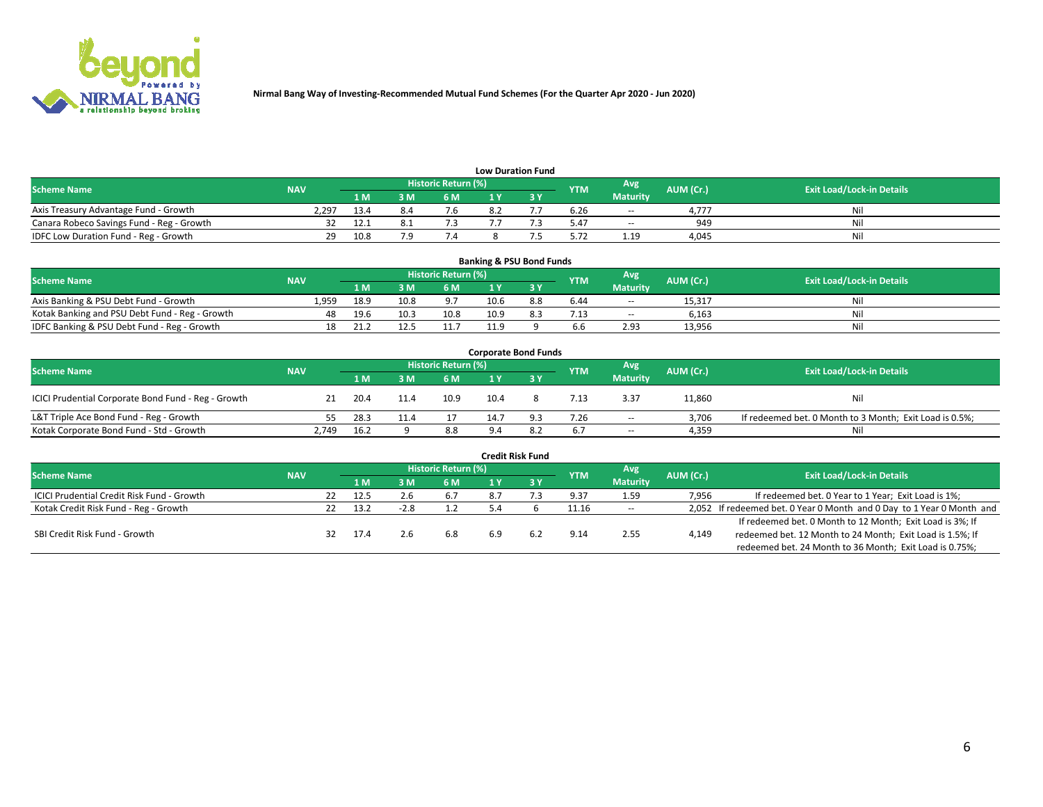

| <b>Low Duration Fund</b>                  |            |      |     |                     |  |  |            |                          |           |                                  |  |  |  |
|-------------------------------------------|------------|------|-----|---------------------|--|--|------------|--------------------------|-----------|----------------------------------|--|--|--|
| <b>Scheme Name</b>                        | <b>NAV</b> |      |     | Historic Return (%) |  |  | <b>YTM</b> | Avg                      | AUM (Cr.) | <b>Exit Load/Lock-in Details</b> |  |  |  |
|                                           |            | 1 M  | 3 M | 6 M                 |  |  |            | <b>Maturity</b>          |           |                                  |  |  |  |
| Axis Treasury Advantage Fund - Growth     | 2.297      | 13.4 |     | ס.י                 |  |  | 6.26       | $\overline{\phantom{a}}$ | 4.777     | Nil                              |  |  |  |
| Canara Robeco Savings Fund - Reg - Growth |            | 12.1 |     |                     |  |  | 5.47       | $\overline{\phantom{a}}$ | 949       | Nil                              |  |  |  |
| IDFC Low Duration Fund - Reg - Growth     | າຊ         | 10.8 | ם ד | ۰.,                 |  |  | 5.72       | 1.19                     | 4,045     | Nil                              |  |  |  |

| <b>Banking &amp; PSU Bond Funds</b>            |                                  |      |      |      |      |     |            |                 |           |     |  |  |  |  |
|------------------------------------------------|----------------------------------|------|------|------|------|-----|------------|-----------------|-----------|-----|--|--|--|--|
| <b>Scheme Name</b>                             | <b>Exit Load/Lock-in Details</b> |      |      |      |      |     |            |                 |           |     |  |  |  |  |
|                                                | <b>NAV</b>                       | 1 M  | sм   | 6 M  |      |     | <b>YTM</b> | <b>Maturity</b> | AUM (Cr.) |     |  |  |  |  |
| Axis Banking & PSU Debt Fund - Growth          | 1.959                            | 18.9 | 10.8 | 9.7  | 10.6 | 8.8 | 6.44       | $\sim$ $\sim$   | 15.317    | Nil |  |  |  |  |
| Kotak Banking and PSU Debt Fund - Reg - Growth |                                  | 19.6 | 10.3 | 10.8 | 10.9 |     | 7.13       | $- -$           | 6,163     | Nil |  |  |  |  |
| IDFC Banking & PSU Debt Fund - Reg - Growth    |                                  | 21.2 |      | 11.7 | 11.9 |     | 6.6        | 2.93            | 13,956    | Nil |  |  |  |  |

| <b>Corporate Bond Funds</b>                                                                                                          |       |      |      |      |      |     |      |                 |        |                                                         |  |  |  |  |
|--------------------------------------------------------------------------------------------------------------------------------------|-------|------|------|------|------|-----|------|-----------------|--------|---------------------------------------------------------|--|--|--|--|
| <b>Historic Return (%)</b><br>Avg<br><b>Scheme Name</b><br>AUM (Cr.)<br><b>Exit Load/Lock-in Details</b><br><b>NAV</b><br><b>YTM</b> |       |      |      |      |      |     |      |                 |        |                                                         |  |  |  |  |
|                                                                                                                                      |       | 1 M  | 3 M  | 6 M  |      |     |      | <b>Maturity</b> |        |                                                         |  |  |  |  |
| ICICI Prudential Corporate Bond Fund - Reg - Growth                                                                                  |       | 20.4 | 11.4 | 10.9 | 10.4 |     | 7.13 | 3.37            | 11,860 | Nil                                                     |  |  |  |  |
| L&T Triple Ace Bond Fund - Reg - Growth                                                                                              |       | 28.3 | 11.4 |      | 14.7 | 9.3 | 7.26 | $\sim$          | 3,706  | If redeemed bet. 0 Month to 3 Month; Exit Load is 0.5%; |  |  |  |  |
| Kotak Corporate Bond Fund - Std - Growth                                                                                             | 2,749 | 16.2 |      | 8.8  |      |     | 6.7  | $\sim$          | 4,359  | Nil                                                     |  |  |  |  |

| <b>Credit Risk Fund</b>                    |            |     |      |        |                     |     |  |            |                 |           |                                                                       |  |  |
|--------------------------------------------|------------|-----|------|--------|---------------------|-----|--|------------|-----------------|-----------|-----------------------------------------------------------------------|--|--|
| <b>Scheme Name</b>                         | <b>NAV</b> |     |      |        | Historic Return (%) |     |  | <b>YTM</b> | Avg             | AUM (Cr.) | <b>Exit Load/Lock-in Details</b>                                      |  |  |
|                                            |            |     | 1 M  | : M    | 6 <sub>M</sub>      |     |  |            | <b>Maturity</b> |           |                                                                       |  |  |
| ICICI Prudential Credit Risk Fund - Growth |            | 22  | 12.5 |        | 6.7                 |     |  | 9.37       | 1.59            | 7,956     | If redeemed bet. 0 Year to 1 Year; Exit Load is 1%;                   |  |  |
| Kotak Credit Risk Fund - Reg - Growth      |            | 22. | 13.2 | $-2.8$ |                     | 5.4 |  | 11.16      | $\sim$          |           | 2,052 If redeemed bet. 0 Year 0 Month and 0 Day to 1 Year 0 Month and |  |  |
|                                            |            |     |      |        |                     |     |  |            |                 |           | If redeemed bet. 0 Month to 12 Month; Exit Load is 3%; If             |  |  |
| SBI Credit Risk Fund - Growth              |            |     | 17.4 |        | 6.8                 | 6.9 |  | 9.14       | 2.55            | 4,149     | redeemed bet. 12 Month to 24 Month; Exit Load is 1.5%; If             |  |  |
|                                            |            |     |      |        |                     |     |  |            |                 |           | redeemed bet. 24 Month to 36 Month; Exit Load is 0.75%;               |  |  |